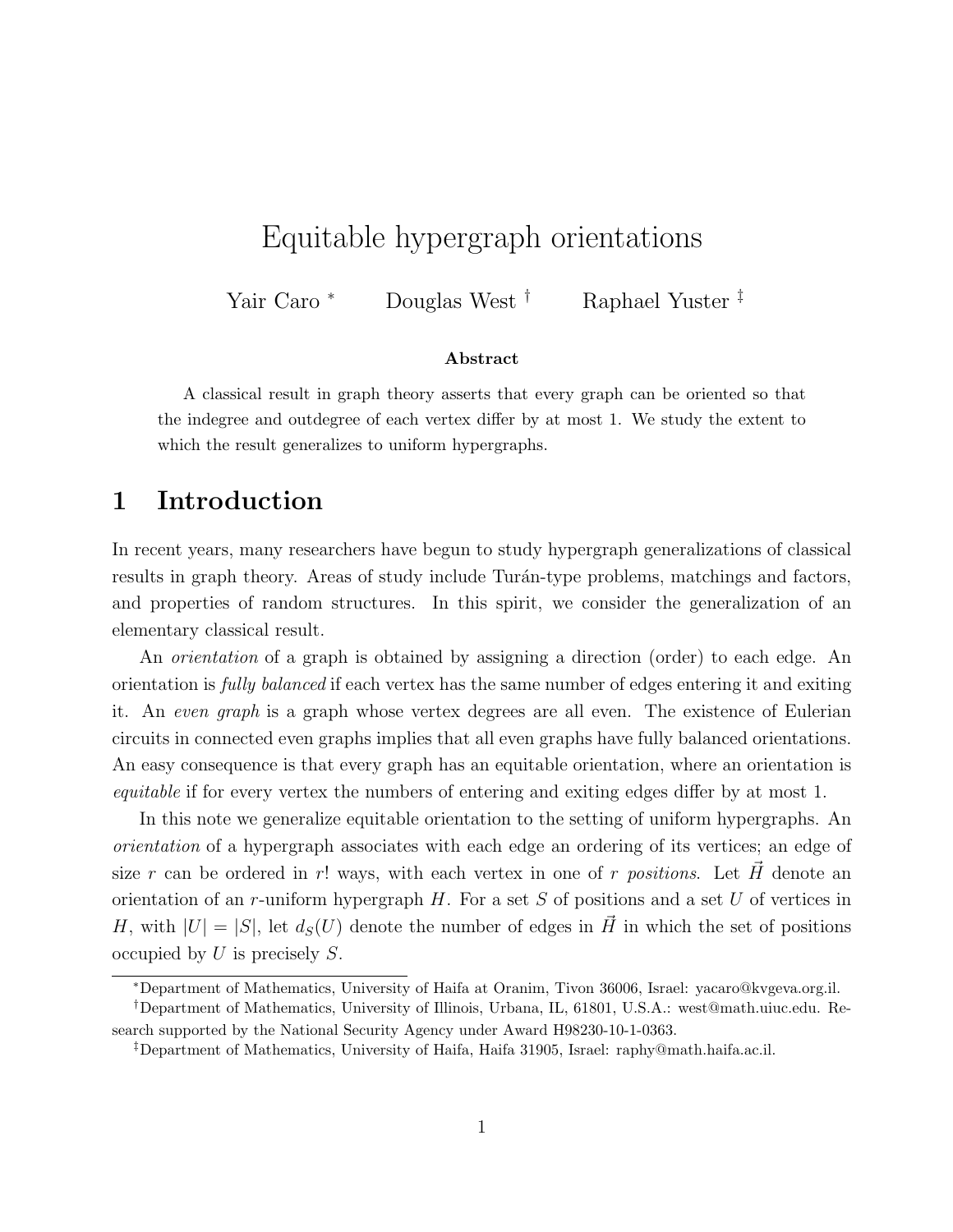# Equitable hypergraph orientations

Yair Caro <sup>∗</sup> Douglas West † Raphael Yuster ‡

#### Abstract

A classical result in graph theory asserts that every graph can be oriented so that the indegree and outdegree of each vertex differ by at most 1. We study the extent to which the result generalizes to uniform hypergraphs.

## 1 Introduction

In recent years, many researchers have begun to study hypergraph generalizations of classical results in graph theory. Areas of study include Turán-type problems, matchings and factors, and properties of random structures. In this spirit, we consider the generalization of an elementary classical result.

An *orientation* of a graph is obtained by assigning a direction (order) to each edge. An orientation is fully balanced if each vertex has the same number of edges entering it and exiting it. An even graph is a graph whose vertex degrees are all even. The existence of Eulerian circuits in connected even graphs implies that all even graphs have fully balanced orientations. An easy consequence is that every graph has an equitable orientation, where an orientation is equitable if for every vertex the numbers of entering and exiting edges differ by at most 1.

In this note we generalize equitable orientation to the setting of uniform hypergraphs. An orientation of a hypergraph associates with each edge an ordering of its vertices; an edge of size r can be ordered in r! ways, with each vertex in one of r positions. Let  $\vec{H}$  denote an orientation of an r-uniform hypergraph  $H$ . For a set  $S$  of positions and a set  $U$  of vertices in H, with  $|U| = |S|$ , let  $d_S(U)$  denote the number of edges in H in which the set of positions occupied by  $U$  is precisely  $S$ .

<sup>∗</sup>Department of Mathematics, University of Haifa at Oranim, Tivon 36006, Israel: yacaro@kvgeva.org.il.

<sup>†</sup>Department of Mathematics, University of Illinois, Urbana, IL, 61801, U.S.A.: west@math.uiuc.edu. Research supported by the National Security Agency under Award H98230-10-1-0363.

<sup>‡</sup>Department of Mathematics, University of Haifa, Haifa 31905, Israel: raphy@math.haifa.ac.il.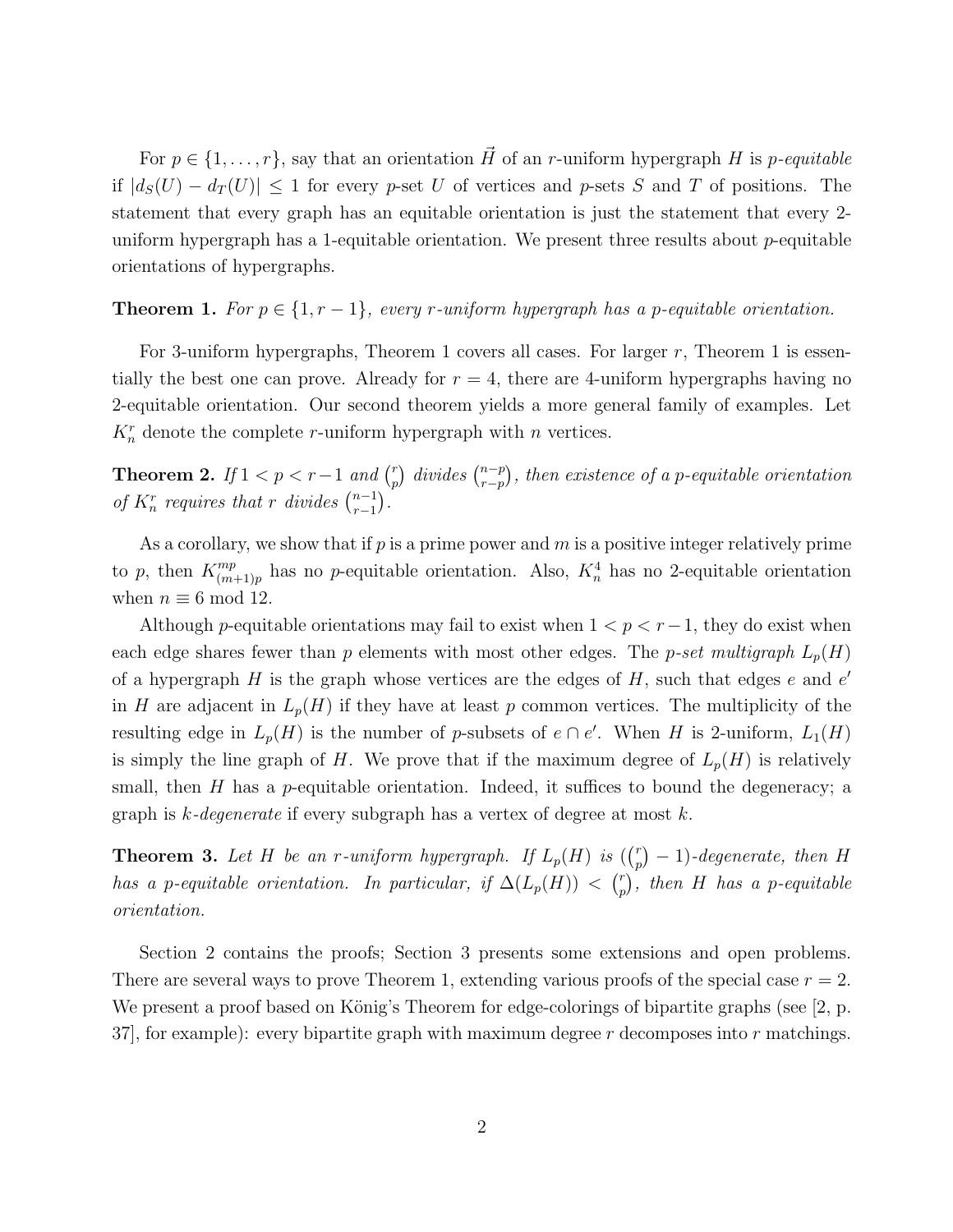For  $p \in \{1,\ldots,r\}$ , say that an orientation  $\vec{H}$  of an r-uniform hypergraph H is p-equitable if  $|d_S(U) - d_T(U)| \leq 1$  for every p-set U of vertices and p-sets S and T of positions. The statement that every graph has an equitable orientation is just the statement that every 2 uniform hypergraph has a 1-equitable orientation. We present three results about  $p$ -equitable orientations of hypergraphs.

#### **Theorem 1.** For  $p \in \{1, r-1\}$ , every r-uniform hypergraph has a p-equitable orientation.

For 3-uniform hypergraphs, Theorem 1 covers all cases. For larger  $r$ , Theorem 1 is essentially the best one can prove. Already for  $r = 4$ , there are 4-uniform hypergraphs having no 2-equitable orientation. Our second theorem yields a more general family of examples. Let  $K_n^r$  denote the complete *r*-uniform hypergraph with *n* vertices.

**Theorem 2.** If  $1 < p < r-1$  and  $\binom{r}{r}$  $\binom{r}{r}$  divides  $\binom{n-p}{r-p}$  $_{r-p}^{(n-p)}$ , then existence of a p-equitable orientation of  $K_n^r$  requires that r divides  $\binom{n-1}{r-1}$  $_{r-1}^{n-1}$ ).

As a corollary, we show that if  $p$  is a prime power and  $m$  is a positive integer relatively prime to p, then  $K_{(m)}^{mp}$  $\binom{mp}{(m+1)p}$  has no p-equitable orientation. Also,  $K_n^4$  has no 2-equitable orientation when  $n \equiv 6 \mod 12$ .

Although p-equitable orientations may fail to exist when  $1 < p < r-1$ , they do exist when each edge shares fewer than p elements with most other edges. The p-set multigraph  $L_p(H)$ of a hypergraph  $H$  is the graph whose vertices are the edges of  $H$ , such that edges  $e$  and  $e'$ in H are adjacent in  $L_p(H)$  if they have at least p common vertices. The multiplicity of the resulting edge in  $L_p(H)$  is the number of p-subsets of  $e \cap e'$ . When H is 2-uniform,  $L_1(H)$ is simply the line graph of H. We prove that if the maximum degree of  $L_p(H)$  is relatively small, then  $H$  has a p-equitable orientation. Indeed, it suffices to bound the degeneracy; a graph is k-degenerate if every subgraph has a vertex of degree at most  $k$ .

**Theorem 3.** Let H be an r-uniform hypergraph. If  $L_p(H)$  is  $\binom{r}{n}$  $\binom{r}{p} - 1$ )-degenerate, then H has a p-equitable orientation. In particular, if  $\Delta(L_p(H)) < \binom{r}{n}$  $\binom{r}{p}$ , then H has a p-equitable orientation.

Section 2 contains the proofs; Section 3 presents some extensions and open problems. There are several ways to prove Theorem 1, extending various proofs of the special case  $r = 2$ . We present a proof based on König's Theorem for edge-colorings of bipartite graphs (see [2, p. 37, for example): every bipartite graph with maximum degree  $r$  decomposes into  $r$  matchings.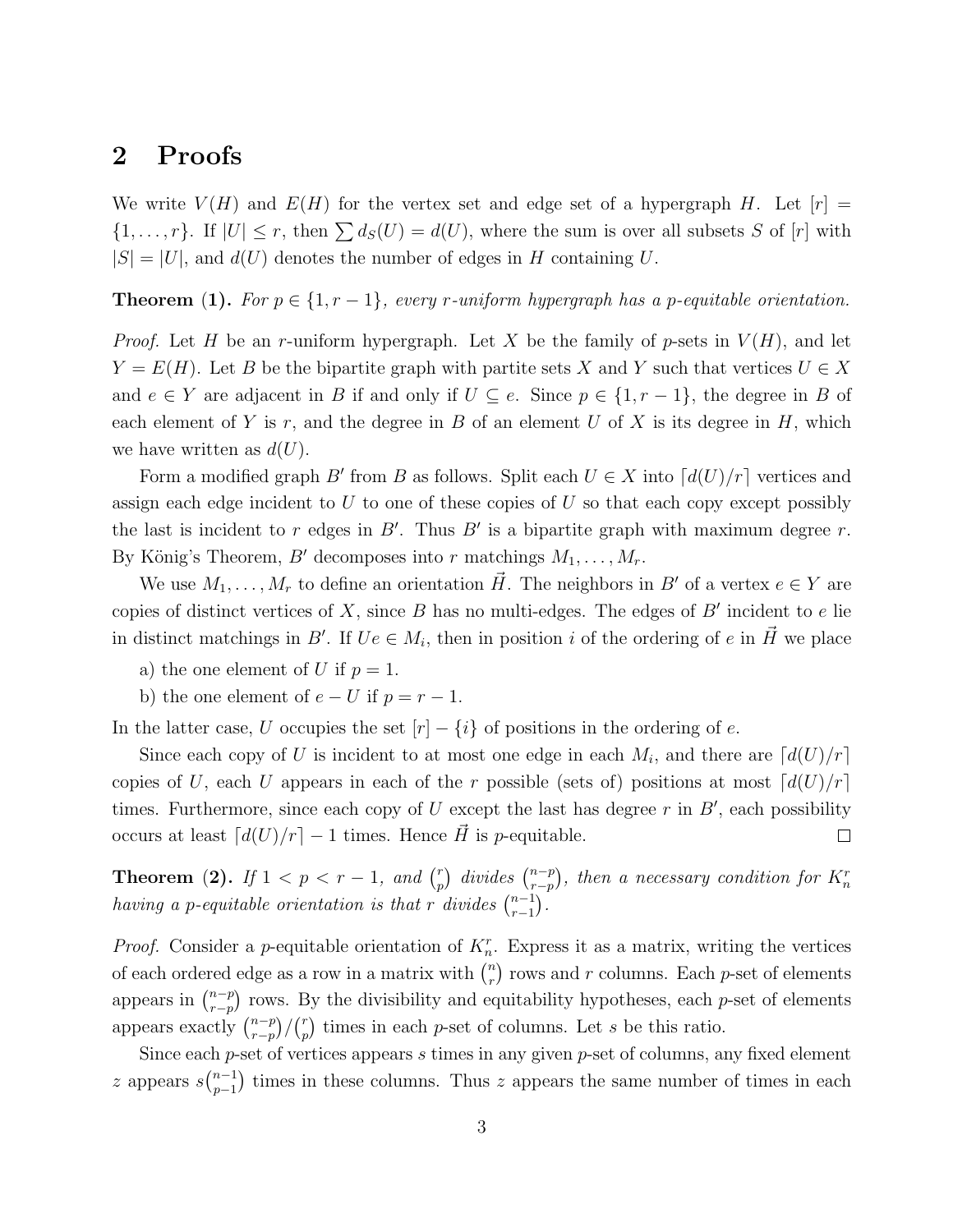# 2 Proofs

We write  $V(H)$  and  $E(H)$  for the vertex set and edge set of a hypergraph H. Let  $[r]$  =  $\{1,\ldots,r\}$ . If  $|U| \leq r$ , then  $\sum d_S(U) = d(U)$ , where the sum is over all subsets S of  $[r]$  with  $|S| = |U|$ , and  $d(U)$  denotes the number of edges in H containing U.

**Theorem (1).** For  $p \in \{1, r-1\}$ , every r-uniform hypergraph has a p-equitable orientation.

*Proof.* Let H be an r-uniform hypergraph. Let X be the family of p-sets in  $V(H)$ , and let  $Y = E(H)$ . Let B be the bipartite graph with partite sets X and Y such that vertices  $U \in X$ and  $e \in Y$  are adjacent in B if and only if  $U \subseteq e$ . Since  $p \in \{1, r-1\}$ , the degree in B of each element of Y is  $r$ , and the degree in B of an element U of X is its degree in H, which we have written as  $d(U)$ .

Form a modified graph B' from B as follows. Split each  $U \in X$  into  $\lceil d(U)/r \rceil$  vertices and assign each edge incident to  $U$  to one of these copies of  $U$  so that each copy except possibly the last is incident to r edges in  $B'$ . Thus  $B'$  is a bipartite graph with maximum degree r. By König's Theorem, B' decomposes into r matchings  $M_1, \ldots, M_r$ .

We use  $M_1,\ldots,M_r$  to define an orientation  $\vec{H}$ . The neighbors in B' of a vertex  $e \in Y$  are copies of distinct vertices of X, since B has no multi-edges. The edges of B' incident to e lie in distinct matchings in B'. If  $Ue \in M_i$ , then in position i of the ordering of e in  $\vec{H}$  we place

- a) the one element of U if  $p = 1$ .
- b) the one element of  $e-U$  if  $p = r 1$ .

In the latter case, U occupies the set  $[r] - \{i\}$  of positions in the ordering of e.

Since each copy of U is incident to at most one edge in each  $M_i$ , and there are  $\lceil d(U)/r \rceil$ copies of U, each U appears in each of the r possible (sets of) positions at most  $\lceil d(U)/r \rceil$ times. Furthermore, since each copy of U except the last has degree r in  $B'$ , each possibility occurs at least  $\lceil d(U)/r \rceil - 1$  times. Hence  $\vec{H}$  is p-equitable.  $\Box$ 

**Theorem (2).** If  $1 < p < r-1$ , and  $\binom{r}{r}$  $\binom{r}{p}$  divides  $\binom{n-p}{r-p}$  $_{r-p}^{(n-p)}$ , then a necessary condition for  $K_{n}^{r}$ having a p-equitable orientation is that r divides  $\binom{n-1}{r-1}$  $_{r-1}^{n-1}$ ).

*Proof.* Consider a p-equitable orientation of  $K_n^r$ . Express it as a matrix, writing the vertices of each ordered edge as a row in a matrix with  $\binom{n}{r}$  $\binom{n}{r}$  rows and r columns. Each p-set of elements appears in  $\binom{n-p}{r-n}$  $p_{r-p}^{(n-p)}$  rows. By the divisibility and equitability hypotheses, each p-set of elements appears exactly  $\binom{n-p}{r-n}$  $\binom{n-p}{r-p}/\binom{r}{p}$  $\binom{r}{p}$  times in each p-set of columns. Let s be this ratio.

Since each  $p$ -set of vertices appears  $s$  times in any given  $p$ -set of columns, any fixed element z appears  $s\binom{n-1}{n-1}$  $p_{p-1}^{n-1}$ ) times in these columns. Thus z appears the same number of times in each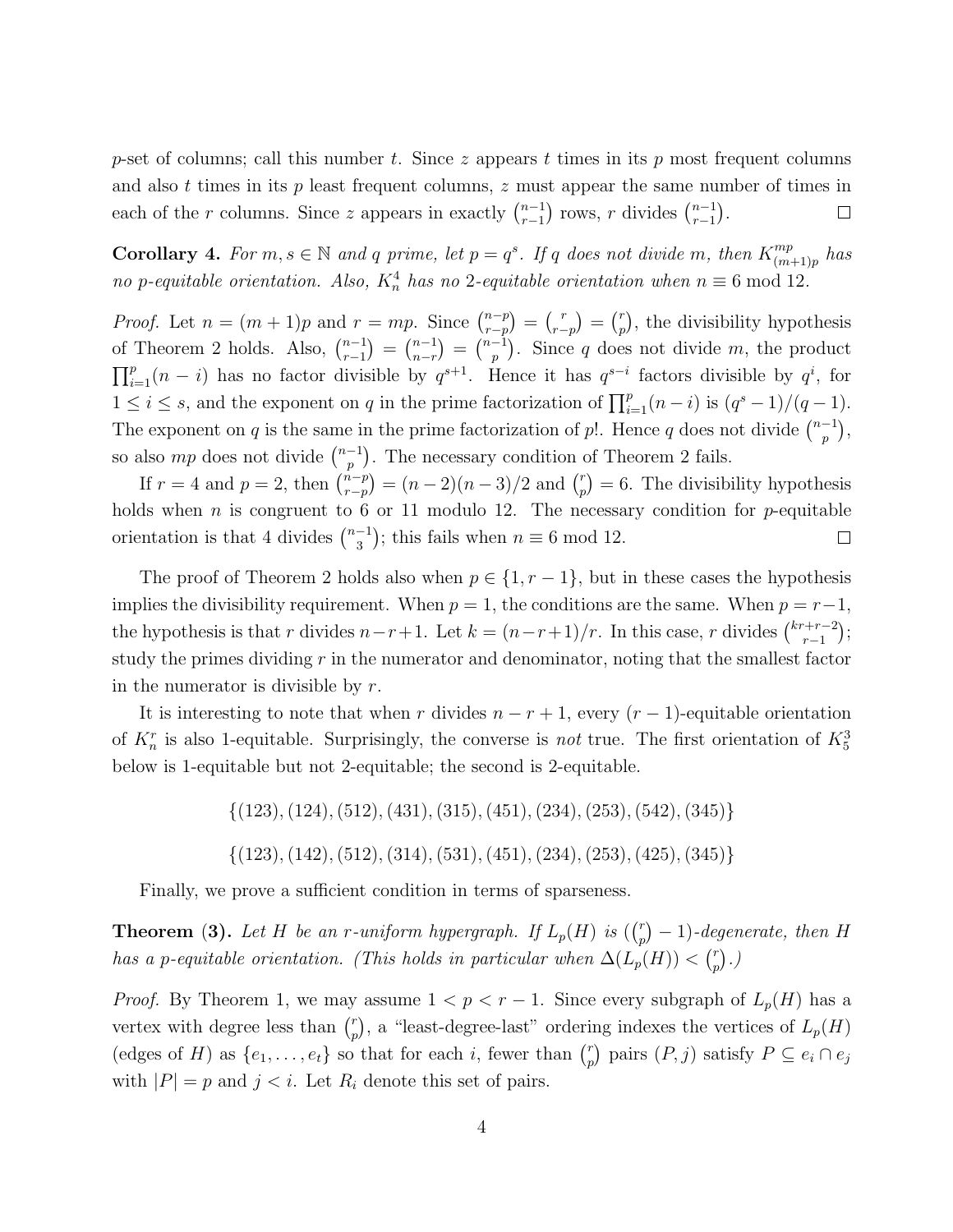p-set of columns; call this number t. Since z appears t times in its p most frequent columns and also  $t$  times in its  $p$  least frequent columns,  $z$  must appear the same number of times in each of the r columns. Since z appears in exactly  $\binom{n-1}{r-1}$  $_{r-1}^{n-1}$ ) rows, r divides  $\binom{n-1}{r-1}$  $_{r-1}^{n-1}$ ).  $\Box$ 

**Corollary 4.** For  $m, s \in \mathbb{N}$  and q prime, let  $p = q^s$ . If q does not divide m, then  $K_{(m)}^{mp}$  $\binom{mp}{(m+1)p}$  has no p-equitable orientation. Also,  $K_n^4$  has no 2-equitable orientation when  $n \equiv 6 \mod 12$ .

*Proof.* Let  $n = (m+1)p$  and  $r = mp$ . Since  $\binom{n-p}{r-n}$  $\binom{n-p}{r-p} = \binom{r}{r-p} = \binom{r}{p}$  $_p^r$ , the divisibility hypothesis of Theorem 2 holds. Also,  $\binom{n-1}{r-1}$  $\binom{n-1}{r-1} = \binom{n-1}{n-r}$  $\binom{n-1}{n-r} = \binom{n-1}{p}$  $\binom{-1}{p}$ . Since q does not divide m, the product  $\prod_{i=1}^p (n-i)$  has no factor divisible by  $q^{s+1}$ . Hence it has  $q^{s-i}$  factors divisible by  $q^i$ , for  $1 \leq i \leq s$ , and the exponent on q in the prime factorization of  $\prod_{i=1}^{p} (n-i)$  is  $(q^{s}-1)/(q-1)$ . The exponent on q is the same in the prime factorization of p!. Hence q does not divide  $\binom{n-1}{n}$  $_{p}^{-1}\big),$ so also mp does not divide  $\binom{n-1}{n}$  $\binom{-1}{p}$ . The necessary condition of Theorem 2 fails.

If  $r = 4$  and  $p = 2$ , then  $\binom{n-p}{r-n}$  $\binom{n-p}{r-p} = (n-2)(n-3)/2$  and  $\binom{r}{p}$  $\binom{r}{p} = 6$ . The divisibility hypothesis holds when *n* is congruent to 6 or 11 modulo 12. The necessary condition for *p*-equitable orientation is that 4 divides  $\binom{n-1}{3}$  $\binom{-1}{3}$ ; this fails when  $n \equiv 6 \mod 12$ .  $\Box$ 

The proof of Theorem 2 holds also when  $p \in \{1, r-1\}$ , but in these cases the hypothesis implies the divisibility requirement. When  $p = 1$ , the conditions are the same. When  $p = r-1$ , the hypothesis is that r divides  $n-r+1$ . Let  $k = (n-r+1)/r$ . In this case, r divides  $\binom{k+r-2}{r-1}$  $_{r-1}^{r+r-2}$ ); study the primes dividing  $r$  in the numerator and denominator, noting that the smallest factor in the numerator is divisible by  $r$ .

It is interesting to note that when r divides  $n - r + 1$ , every  $(r - 1)$ -equitable orientation of  $K_n^r$  is also 1-equitable. Surprisingly, the converse is *not* true. The first orientation of  $K_5^3$ below is 1-equitable but not 2-equitable; the second is 2-equitable.

> $\{(123), (124), (512), (431), (315), (451), (234), (253), (542), (345)\}$  $\{(123), (142), (512), (314), (531), (451), (234), (253), (425), (345)\}$

Finally, we prove a sufficient condition in terms of sparseness.

**Theorem** (3). Let H be an r-uniform hypergraph. If  $L_p(H)$  is  $\binom{r}{n}$  $\binom{r}{p} - 1$ )-degenerate, then H has a p-equitable orientation. (This holds in particular when  $\Delta(L_p(H)) < \binom{r}{n}$  $\binom{r}{p}$ .)

*Proof.* By Theorem 1, we may assume  $1 < p < r - 1$ . Since every subgraph of  $L_p(H)$  has a vertex with degree less than  $\binom{r}{r}$  $_p^r$ , a "least-degree-last" ordering indexes the vertices of  $L_p(H)$ (edges of H) as  $\{e_1, \ldots, e_t\}$  so that for each i, fewer than  $\binom{r}{r}$  $\binom{r}{p}$  pairs  $(P, j)$  satisfy  $P \subseteq e_i \cap e_j$ with  $|P| = p$  and  $j < i$ . Let  $R_i$  denote this set of pairs.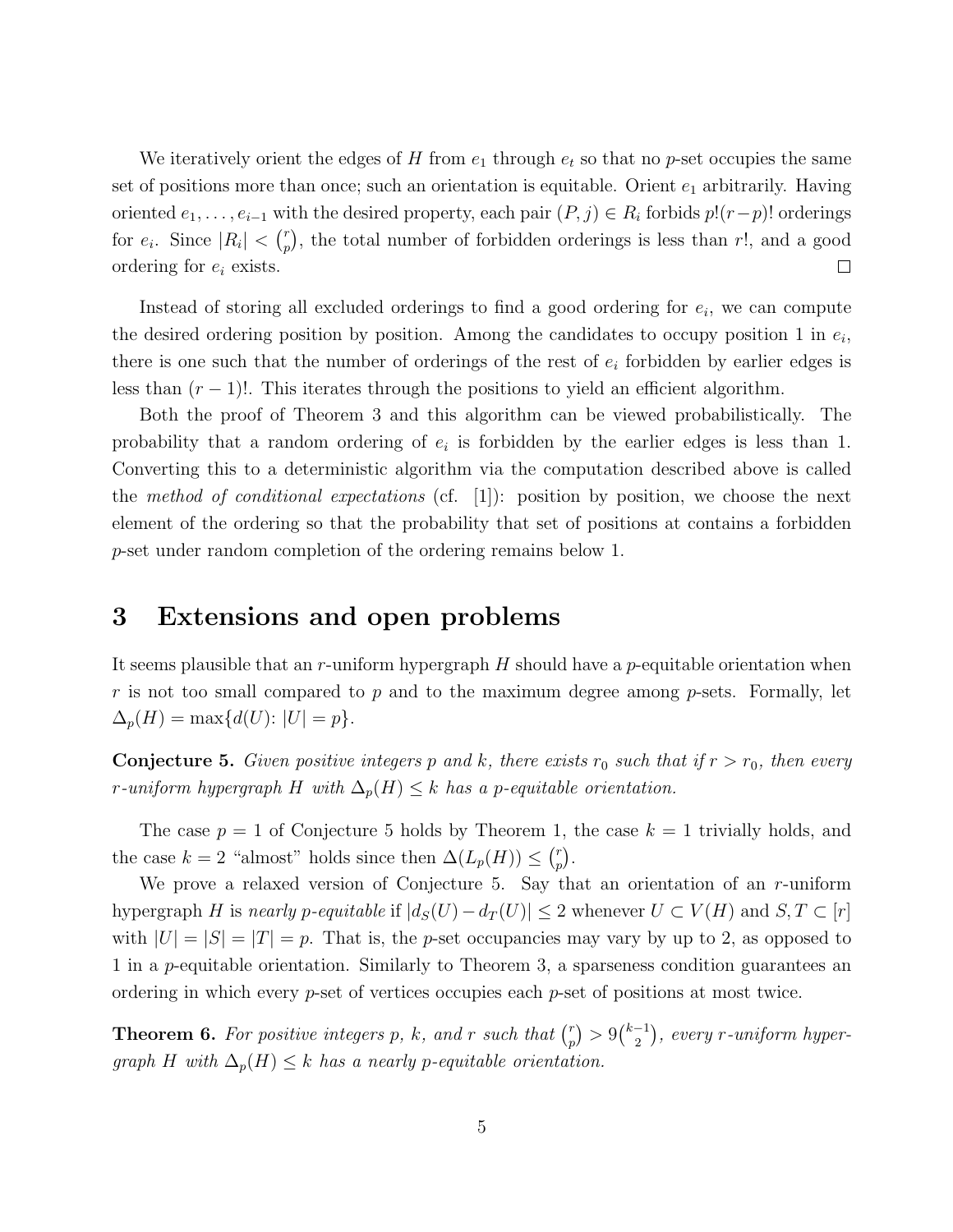We iteratively orient the edges of H from  $e_1$  through  $e_t$  so that no p-set occupies the same set of positions more than once; such an orientation is equitable. Orient  $e_1$  arbitrarily. Having oriented  $e_1, \ldots, e_{i-1}$  with the desired property, each pair  $(P, j) \in R_i$  forbids  $p!(r-p)!$  orderings for  $e_i$ . Since  $|R_i| < \binom{r}{n}$  $_p^r$ , the total number of forbidden orderings is less than r!, and a good ordering for  $e_i$  exists.  $\Box$ 

Instead of storing all excluded orderings to find a good ordering for  $e_i$ , we can compute the desired ordering position by position. Among the candidates to occupy position 1 in  $e_i$ , there is one such that the number of orderings of the rest of  $e_i$  forbidden by earlier edges is less than  $(r-1)!$ . This iterates through the positions to yield an efficient algorithm.

Both the proof of Theorem 3 and this algorithm can be viewed probabilistically. The probability that a random ordering of  $e_i$  is forbidden by the earlier edges is less than 1. Converting this to a deterministic algorithm via the computation described above is called the method of conditional expectations (cf. [1]): position by position, we choose the next element of the ordering so that the probability that set of positions at contains a forbidden p-set under random completion of the ordering remains below 1.

### 3 Extensions and open problems

It seems plausible that an r-uniform hypergraph  $H$  should have a p-equitable orientation when r is not too small compared to p and to the maximum degree among p-sets. Formally, let  $\Delta_p(H) = \max\{d(U): |U| = p\}.$ 

**Conjecture 5.** Given positive integers p and k, there exists  $r_0$  such that if  $r > r_0$ , then every r-uniform hypergraph H with  $\Delta_p(H) \leq k$  has a p-equitable orientation.

The case  $p = 1$  of Conjecture 5 holds by Theorem 1, the case  $k = 1$  trivially holds, and the case  $k = 2$  "almost" holds since then  $\Delta(L_p(H)) \leq {n \choose n}$  $_{p}^{r}$ ).

We prove a relaxed version of Conjecture 5. Say that an orientation of an r-uniform hypergraph H is nearly p-equitable if  $|d_S(U)-d_T(U)| \leq 2$  whenever  $U \subset V(H)$  and  $S, T \subset [r]$ with  $|U| = |S| = |T| = p$ . That is, the *p*-set occupancies may vary by up to 2, as opposed to 1 in a p-equitable orientation. Similarly to Theorem 3, a sparseness condition guarantees an ordering in which every  $p$ -set of vertices occupies each  $p$ -set of positions at most twice.

**Theorem 6.** For positive integers p, k, and r such that  $\binom{r}{n}$  $\binom{r}{p} > 9\binom{k-1}{2}$  $\binom{-1}{2}$ , every r-uniform hypergraph H with  $\Delta_p(H) \leq k$  has a nearly p-equitable orientation.